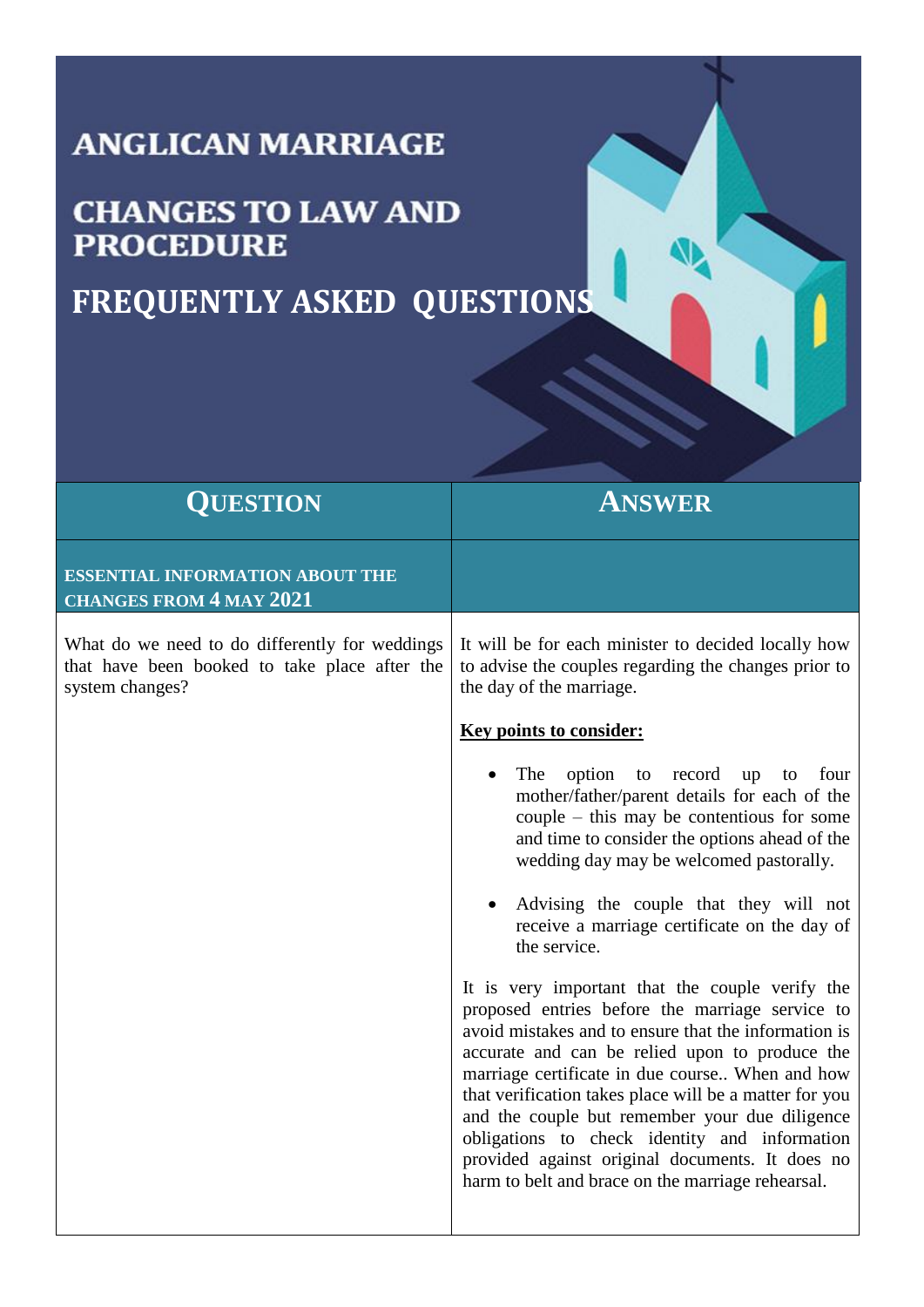## **ANGLICAN MARRIAGE**

## **CHANGES TO LAW AND PROCEDURE**

## **FREQUENTLY ASKED QUESTIONS**

| <b>QUESTION</b>                                                                                                    | ANSWER                                                                                                                                                                                                                                                                                                                                                                                                                                                                                                                                                                                                                                                                                                                                                                                                                                                                                                             |
|--------------------------------------------------------------------------------------------------------------------|--------------------------------------------------------------------------------------------------------------------------------------------------------------------------------------------------------------------------------------------------------------------------------------------------------------------------------------------------------------------------------------------------------------------------------------------------------------------------------------------------------------------------------------------------------------------------------------------------------------------------------------------------------------------------------------------------------------------------------------------------------------------------------------------------------------------------------------------------------------------------------------------------------------------|
| <b>ESSENTIAL INFORMATION ABOUT THE</b><br><b>CHANGES FROM 4 MAY 2021</b>                                           |                                                                                                                                                                                                                                                                                                                                                                                                                                                                                                                                                                                                                                                                                                                                                                                                                                                                                                                    |
| What do we need to do differently for weddings<br>that have been booked to take place after the<br>system changes? | It will be for each minister to decided locally how<br>to advise the couples regarding the changes prior to<br>the day of the marriage.<br><b>Key points to consider:</b><br>option<br>The<br>record<br>to<br>up<br>four<br>to<br>mother/father/parent details for each of the<br>couple $-$ this may be contentious for some<br>and time to consider the options ahead of the<br>wedding day may be welcomed pastorally.<br>Advising the couple that they will not<br>receive a marriage certificate on the day of<br>the service.<br>It is very important that the couple verify the<br>proposed entries before the marriage service to<br>avoid mistakes and to ensure that the information is<br>accurate and can be relied upon to produce the<br>marriage certificate in due course When and how<br>that verification takes place will be a matter for you<br>and the couple but remember your due diligence |
|                                                                                                                    | obligations to check identity and information<br>provided against original documents. It does no<br>harm to belt and brace on the marriage rehearsal.                                                                                                                                                                                                                                                                                                                                                                                                                                                                                                                                                                                                                                                                                                                                                              |

**ND**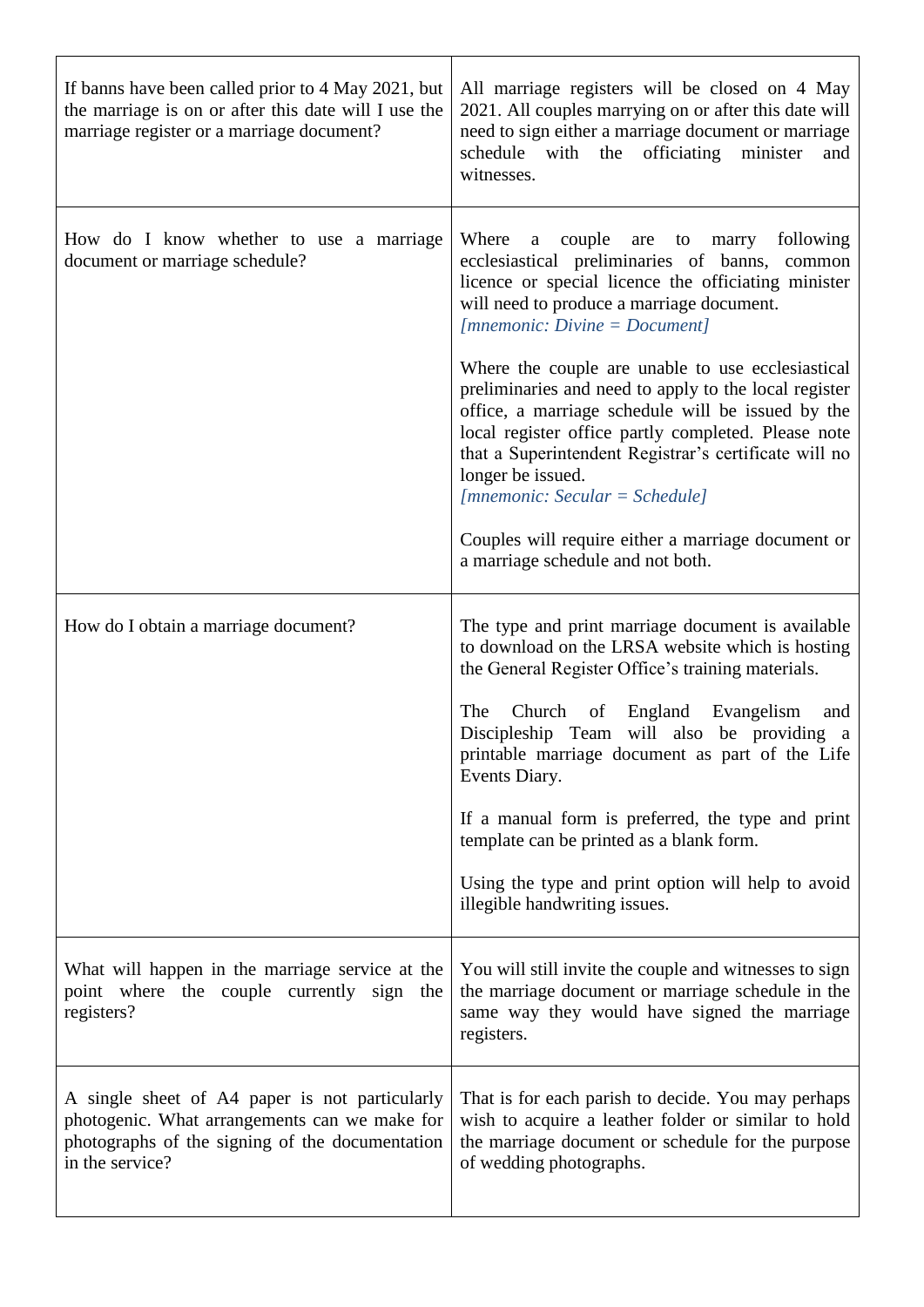| If banns have been called prior to 4 May 2021, but<br>the marriage is on or after this date will I use the<br>marriage register or a marriage document?               | All marriage registers will be closed on 4 May<br>2021. All couples marrying on or after this date will<br>need to sign either a marriage document or marriage<br>schedule with the officiating<br>minister<br>and<br>witnesses.                                                                                                         |
|-----------------------------------------------------------------------------------------------------------------------------------------------------------------------|------------------------------------------------------------------------------------------------------------------------------------------------------------------------------------------------------------------------------------------------------------------------------------------------------------------------------------------|
| How do I know whether to use a marriage<br>document or marriage schedule?                                                                                             | Where<br>couple are to marry following<br>a<br>ecclesiastical preliminaries of banns, common<br>licence or special licence the officiating minister<br>will need to produce a marriage document.<br>$[mmemonic:Divine = Document]$                                                                                                       |
|                                                                                                                                                                       | Where the couple are unable to use ecclesiastical<br>preliminaries and need to apply to the local register<br>office, a marriage schedule will be issued by the<br>local register office partly completed. Please note<br>that a Superintendent Registrar's certificate will no<br>longer be issued.<br>$[mmemonic: Secular = Schedule]$ |
|                                                                                                                                                                       | Couples will require either a marriage document or<br>a marriage schedule and not both.                                                                                                                                                                                                                                                  |
| How do I obtain a marriage document?                                                                                                                                  | The type and print marriage document is available<br>to download on the LRSA website which is hosting<br>the General Register Office's training materials.                                                                                                                                                                               |
|                                                                                                                                                                       | The<br>Church of England Evangelism<br>and<br>Discipleship Team will also be providing a<br>printable marriage document as part of the Life<br>Events Diary.                                                                                                                                                                             |
|                                                                                                                                                                       | If a manual form is preferred, the type and print<br>template can be printed as a blank form.                                                                                                                                                                                                                                            |
|                                                                                                                                                                       | Using the type and print option will help to avoid<br>illegible handwriting issues.                                                                                                                                                                                                                                                      |
| What will happen in the marriage service at the<br>point where the couple currently sign the<br>registers?                                                            | You will still invite the couple and witnesses to sign<br>the marriage document or marriage schedule in the<br>same way they would have signed the marriage<br>registers.                                                                                                                                                                |
| A single sheet of A4 paper is not particularly<br>photogenic. What arrangements can we make for<br>photographs of the signing of the documentation<br>in the service? | That is for each parish to decide. You may perhaps<br>wish to acquire a leather folder or similar to hold<br>the marriage document or schedule for the purpose<br>of wedding photographs.                                                                                                                                                |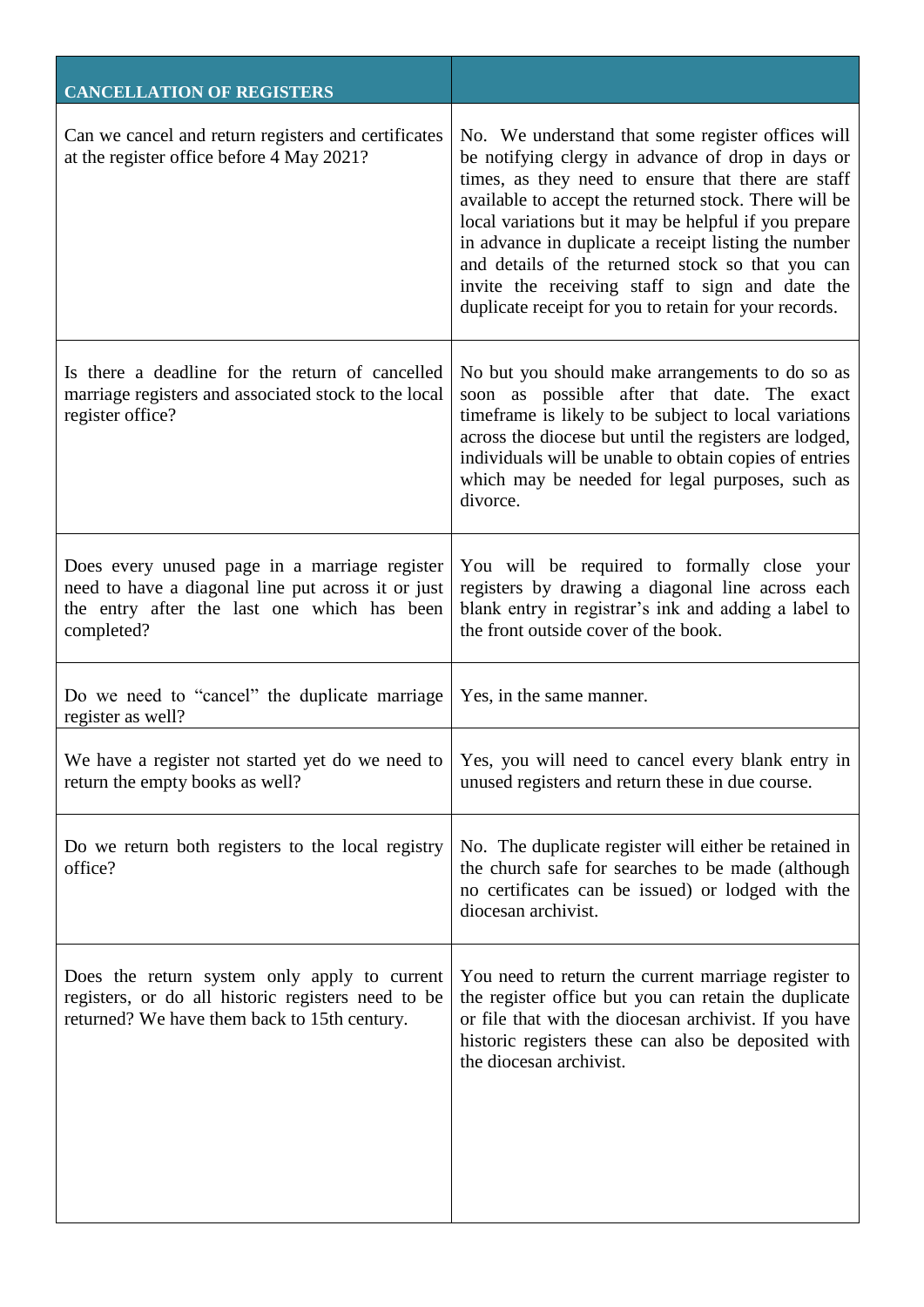| <b>CANCELLATION OF REGISTERS</b>                                                                                                                                 |                                                                                                                                                                                                                                                                                                                                                                                                                                                                                                         |
|------------------------------------------------------------------------------------------------------------------------------------------------------------------|---------------------------------------------------------------------------------------------------------------------------------------------------------------------------------------------------------------------------------------------------------------------------------------------------------------------------------------------------------------------------------------------------------------------------------------------------------------------------------------------------------|
| Can we cancel and return registers and certificates<br>at the register office before 4 May 2021?                                                                 | No. We understand that some register offices will<br>be notifying clergy in advance of drop in days or<br>times, as they need to ensure that there are staff<br>available to accept the returned stock. There will be<br>local variations but it may be helpful if you prepare<br>in advance in duplicate a receipt listing the number<br>and details of the returned stock so that you can<br>invite the receiving staff to sign and date the<br>duplicate receipt for you to retain for your records. |
| Is there a deadline for the return of cancelled<br>marriage registers and associated stock to the local<br>register office?                                      | No but you should make arrangements to do so as<br>soon as possible after that date. The exact<br>timeframe is likely to be subject to local variations<br>across the diocese but until the registers are lodged,<br>individuals will be unable to obtain copies of entries<br>which may be needed for legal purposes, such as<br>divorce.                                                                                                                                                              |
| Does every unused page in a marriage register<br>need to have a diagonal line put across it or just<br>the entry after the last one which has been<br>completed? | You will be required to formally close your<br>registers by drawing a diagonal line across each<br>blank entry in registrar's ink and adding a label to<br>the front outside cover of the book.                                                                                                                                                                                                                                                                                                         |
| Do we need to "cancel" the duplicate marriage<br>register as well?                                                                                               | Yes, in the same manner.                                                                                                                                                                                                                                                                                                                                                                                                                                                                                |
| return the empty books as well?                                                                                                                                  | We have a register not started yet do we need to $\vert$ Yes, you will need to cancel every blank entry in<br>unused registers and return these in due course.                                                                                                                                                                                                                                                                                                                                          |
| Do we return both registers to the local registry<br>office?                                                                                                     | No. The duplicate register will either be retained in<br>the church safe for searches to be made (although<br>no certificates can be issued) or lodged with the<br>diocesan archivist.                                                                                                                                                                                                                                                                                                                  |
| Does the return system only apply to current<br>registers, or do all historic registers need to be<br>returned? We have them back to 15th century.               | You need to return the current marriage register to<br>the register office but you can retain the duplicate<br>or file that with the diocesan archivist. If you have<br>historic registers these can also be deposited with<br>the diocesan archivist.                                                                                                                                                                                                                                                  |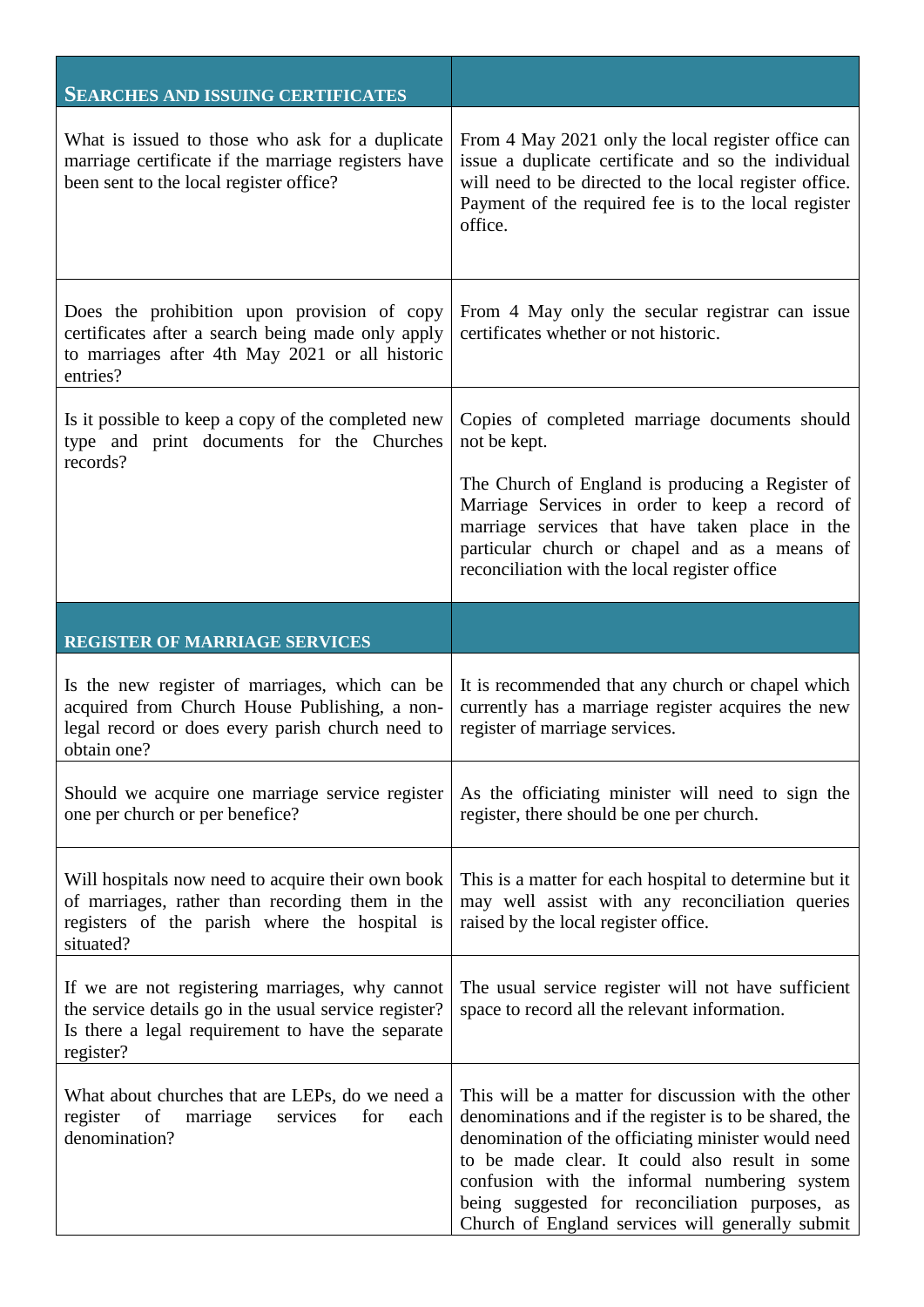| <b>SEARCHES AND ISSUING CERTIFICATES</b>                                                                                                                                   |                                                                                                                                                                                                                                                        |
|----------------------------------------------------------------------------------------------------------------------------------------------------------------------------|--------------------------------------------------------------------------------------------------------------------------------------------------------------------------------------------------------------------------------------------------------|
| What is issued to those who ask for a duplicate<br>marriage certificate if the marriage registers have<br>been sent to the local register office?                          | From 4 May 2021 only the local register office can<br>issue a duplicate certificate and so the individual<br>will need to be directed to the local register office.<br>Payment of the required fee is to the local register<br>office.                 |
| Does the prohibition upon provision of copy<br>certificates after a search being made only apply<br>to marriages after 4th May 2021 or all historic<br>entries?            | From 4 May only the secular registrar can issue<br>certificates whether or not historic.                                                                                                                                                               |
| Is it possible to keep a copy of the completed new<br>type and print documents for the Churches                                                                            | Copies of completed marriage documents should<br>not be kept.                                                                                                                                                                                          |
| records?                                                                                                                                                                   | The Church of England is producing a Register of<br>Marriage Services in order to keep a record of<br>marriage services that have taken place in the<br>particular church or chapel and as a means of<br>reconciliation with the local register office |
| <b>REGISTER OF MARRIAGE SERVICES</b>                                                                                                                                       |                                                                                                                                                                                                                                                        |
|                                                                                                                                                                            |                                                                                                                                                                                                                                                        |
| Is the new register of marriages, which can be<br>acquired from Church House Publishing, a non-<br>legal record or does every parish church need to<br>obtain one?         | It is recommended that any church or chapel which<br>currently has a marriage register acquires the new<br>register of marriage services.                                                                                                              |
| Should we acquire one marriage service register<br>one per church or per benefice?                                                                                         | As the officiating minister will need to sign the<br>register, there should be one per church.                                                                                                                                                         |
| Will hospitals now need to acquire their own book<br>of marriages, rather than recording them in the<br>registers of the parish where the hospital is<br>situated?         | This is a matter for each hospital to determine but it<br>may well assist with any reconciliation queries<br>raised by the local register office.                                                                                                      |
| If we are not registering marriages, why cannot<br>the service details go in the usual service register?<br>Is there a legal requirement to have the separate<br>register? | The usual service register will not have sufficient<br>space to record all the relevant information.                                                                                                                                                   |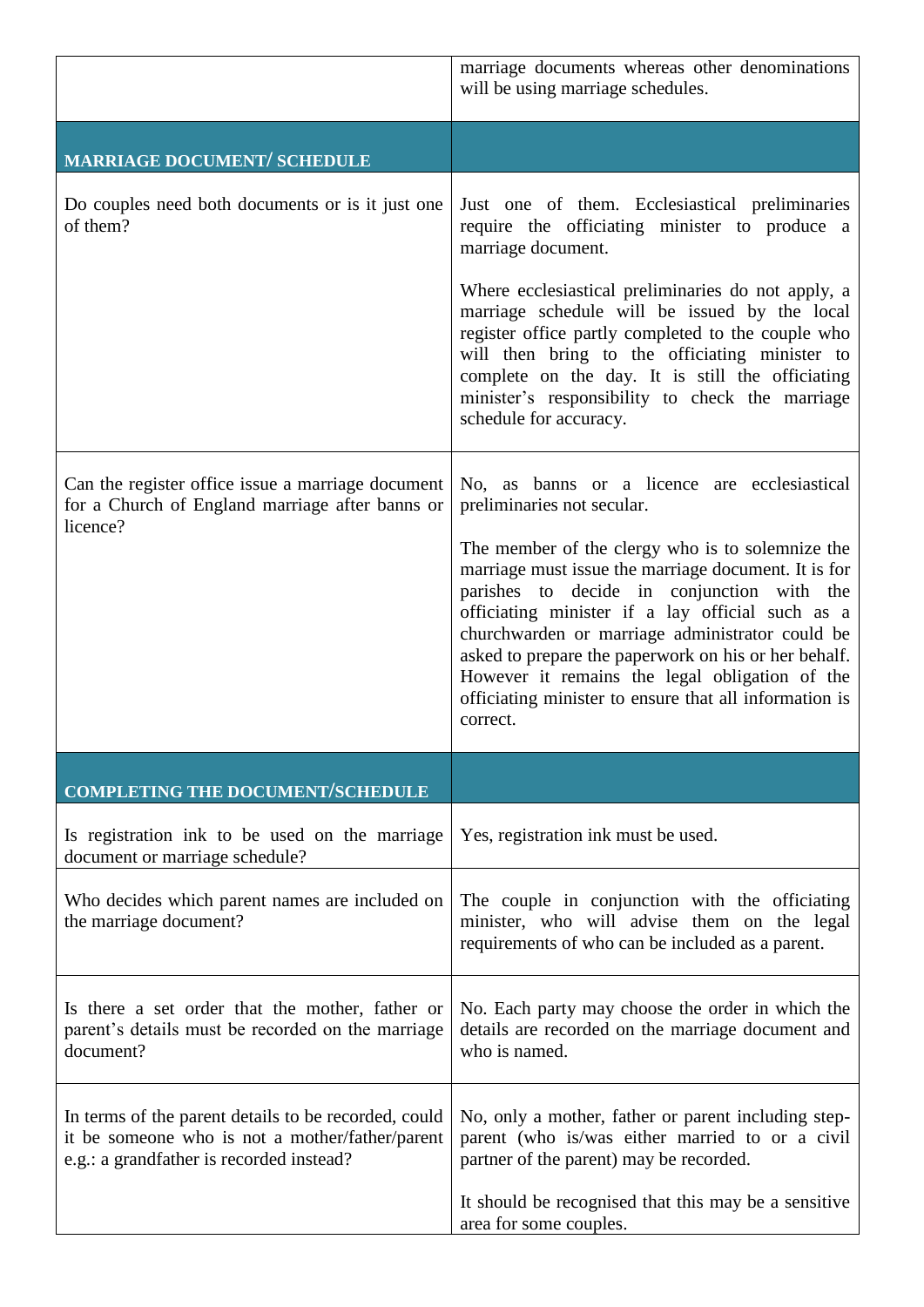|                                                                                                                                                     | marriage documents whereas other denominations<br>will be using marriage schedules.                                                                                                                                                                                                                                                                                                                                                           |
|-----------------------------------------------------------------------------------------------------------------------------------------------------|-----------------------------------------------------------------------------------------------------------------------------------------------------------------------------------------------------------------------------------------------------------------------------------------------------------------------------------------------------------------------------------------------------------------------------------------------|
| MARRIAGE DOCUMENT/ SCHEDULE                                                                                                                         |                                                                                                                                                                                                                                                                                                                                                                                                                                               |
| Do couples need both documents or is it just one<br>of them?                                                                                        | Just one of them. Ecclesiastical preliminaries<br>require the officiating minister to produce a<br>marriage document.<br>Where ecclesiastical preliminaries do not apply, a<br>marriage schedule will be issued by the local<br>register office partly completed to the couple who<br>will then bring to the officiating minister to                                                                                                          |
|                                                                                                                                                     | complete on the day. It is still the officiating<br>minister's responsibility to check the marriage<br>schedule for accuracy.                                                                                                                                                                                                                                                                                                                 |
| Can the register office issue a marriage document<br>for a Church of England marriage after banns or<br>licence?                                    | No, as banns or a licence are ecclesiastical<br>preliminaries not secular.                                                                                                                                                                                                                                                                                                                                                                    |
|                                                                                                                                                     | The member of the clergy who is to solemnize the<br>marriage must issue the marriage document. It is for<br>parishes to decide in conjunction with the<br>officiating minister if a lay official such as a<br>churchwarden or marriage administrator could be<br>asked to prepare the paperwork on his or her behalf.<br>However it remains the legal obligation of the<br>officiating minister to ensure that all information is<br>correct. |
| <b>COMPLETING THE DOCUMENT/SCHEDULE</b>                                                                                                             |                                                                                                                                                                                                                                                                                                                                                                                                                                               |
| Is registration ink to be used on the marriage<br>document or marriage schedule?                                                                    | Yes, registration ink must be used.                                                                                                                                                                                                                                                                                                                                                                                                           |
| Who decides which parent names are included on<br>the marriage document?                                                                            | The couple in conjunction with the officiating<br>minister, who will advise them on the legal<br>requirements of who can be included as a parent.                                                                                                                                                                                                                                                                                             |
| Is there a set order that the mother, father or<br>parent's details must be recorded on the marriage<br>document?                                   | No. Each party may choose the order in which the<br>details are recorded on the marriage document and<br>who is named.                                                                                                                                                                                                                                                                                                                        |
| In terms of the parent details to be recorded, could<br>it be someone who is not a mother/father/parent<br>e.g.: a grandfather is recorded instead? | No, only a mother, father or parent including step-<br>parent (who is/was either married to or a civil<br>partner of the parent) may be recorded.                                                                                                                                                                                                                                                                                             |
|                                                                                                                                                     | It should be recognised that this may be a sensitive<br>area for some couples.                                                                                                                                                                                                                                                                                                                                                                |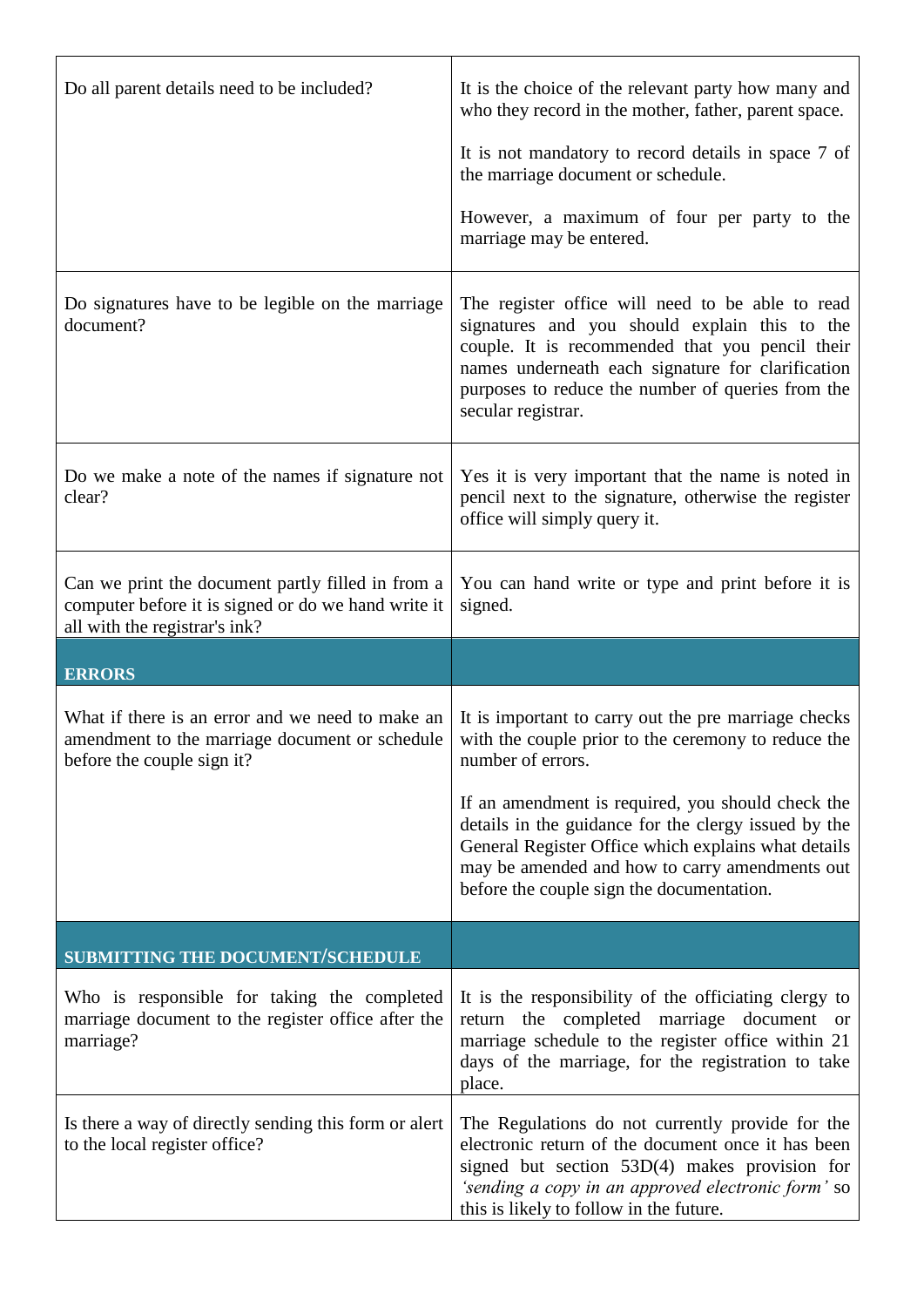| Do all parent details need to be included?                                                                                                | It is the choice of the relevant party how many and<br>who they record in the mother, father, parent space.<br>It is not mandatory to record details in space 7 of<br>the marriage document or schedule.<br>However, a maximum of four per party to the<br>marriage may be entered.                  |
|-------------------------------------------------------------------------------------------------------------------------------------------|------------------------------------------------------------------------------------------------------------------------------------------------------------------------------------------------------------------------------------------------------------------------------------------------------|
| Do signatures have to be legible on the marriage<br>document?                                                                             | The register office will need to be able to read<br>signatures and you should explain this to the<br>couple. It is recommended that you pencil their<br>names underneath each signature for clarification<br>purposes to reduce the number of queries from the<br>secular registrar.                 |
| Do we make a note of the names if signature not<br>clear?                                                                                 | Yes it is very important that the name is noted in<br>pencil next to the signature, otherwise the register<br>office will simply query it.                                                                                                                                                           |
| Can we print the document partly filled in from a<br>computer before it is signed or do we hand write it<br>all with the registrar's ink? | You can hand write or type and print before it is<br>signed.                                                                                                                                                                                                                                         |
|                                                                                                                                           |                                                                                                                                                                                                                                                                                                      |
| <b>ERRORS</b>                                                                                                                             |                                                                                                                                                                                                                                                                                                      |
| What if there is an error and we need to make an<br>amendment to the marriage document or schedule<br>before the couple sign it?          | It is important to carry out the pre marriage checks<br>with the couple prior to the ceremony to reduce the<br>number of errors.<br>If an amendment is required, you should check the<br>details in the guidance for the clergy issued by the<br>General Register Office which explains what details |
|                                                                                                                                           | may be amended and how to carry amendments out<br>before the couple sign the documentation.                                                                                                                                                                                                          |
| <b>SUBMITTING THE DOCUMENT/SCHEDULE</b>                                                                                                   |                                                                                                                                                                                                                                                                                                      |
| Who is responsible for taking the completed<br>marriage document to the register office after the<br>marriage?                            | It is the responsibility of the officiating clergy to<br>return the completed marriage document or<br>marriage schedule to the register office within 21<br>days of the marriage, for the registration to take<br>place.                                                                             |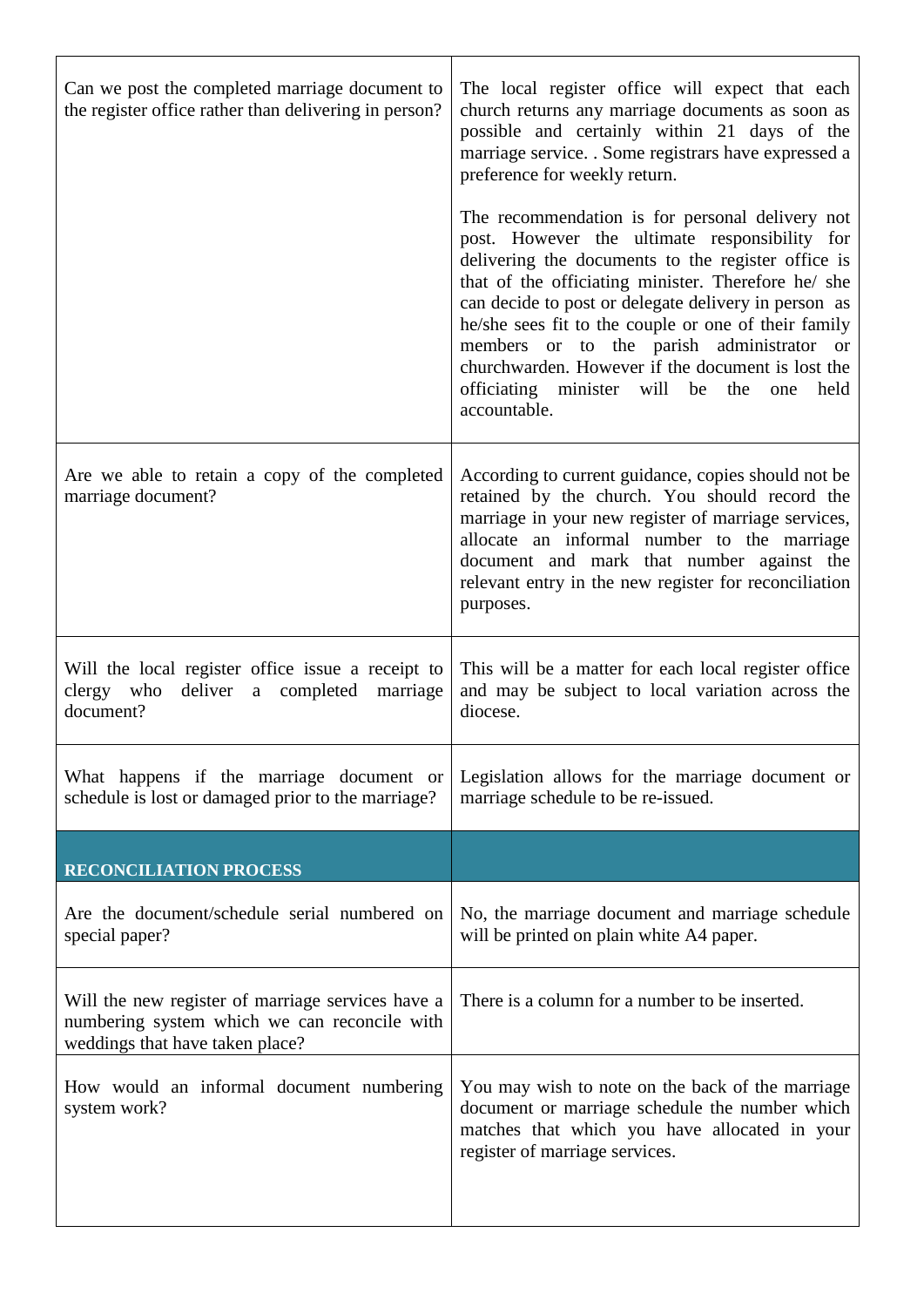| Can we post the completed marriage document to<br>the register office rather than delivering in person?                              | The local register office will expect that each<br>church returns any marriage documents as soon as<br>possible and certainly within 21 days of the<br>marriage service. . Some registrars have expressed a<br>preference for weekly return.                                                                                                                                                                                                                                                       |
|--------------------------------------------------------------------------------------------------------------------------------------|----------------------------------------------------------------------------------------------------------------------------------------------------------------------------------------------------------------------------------------------------------------------------------------------------------------------------------------------------------------------------------------------------------------------------------------------------------------------------------------------------|
|                                                                                                                                      | The recommendation is for personal delivery not<br>post. However the ultimate responsibility for<br>delivering the documents to the register office is<br>that of the officiating minister. Therefore he/ she<br>can decide to post or delegate delivery in person as<br>he/she sees fit to the couple or one of their family<br>members or to the parish administrator or<br>churchwarden. However if the document is lost the<br>officiating minister will be the<br>held<br>one<br>accountable. |
| Are we able to retain a copy of the completed<br>marriage document?                                                                  | According to current guidance, copies should not be<br>retained by the church. You should record the<br>marriage in your new register of marriage services,<br>allocate an informal number to the marriage<br>document and mark that number against the<br>relevant entry in the new register for reconciliation<br>purposes.                                                                                                                                                                      |
| Will the local register office issue a receipt to<br>clergy who deliver a completed<br>marriage<br>document?                         | This will be a matter for each local register office<br>and may be subject to local variation across the<br>diocese.                                                                                                                                                                                                                                                                                                                                                                               |
| What happens if the marriage document or<br>schedule is lost or damaged prior to the marriage?                                       | Legislation allows for the marriage document or<br>marriage schedule to be re-issued.                                                                                                                                                                                                                                                                                                                                                                                                              |
| <b>RECONCILIATION PROCESS</b>                                                                                                        |                                                                                                                                                                                                                                                                                                                                                                                                                                                                                                    |
| Are the document/schedule serial numbered on<br>special paper?                                                                       | No, the marriage document and marriage schedule<br>will be printed on plain white A4 paper.                                                                                                                                                                                                                                                                                                                                                                                                        |
| Will the new register of marriage services have a<br>numbering system which we can reconcile with<br>weddings that have taken place? | There is a column for a number to be inserted.                                                                                                                                                                                                                                                                                                                                                                                                                                                     |
| How would an informal document numbering<br>system work?                                                                             | You may wish to note on the back of the marriage<br>document or marriage schedule the number which<br>matches that which you have allocated in your<br>register of marriage services.                                                                                                                                                                                                                                                                                                              |

r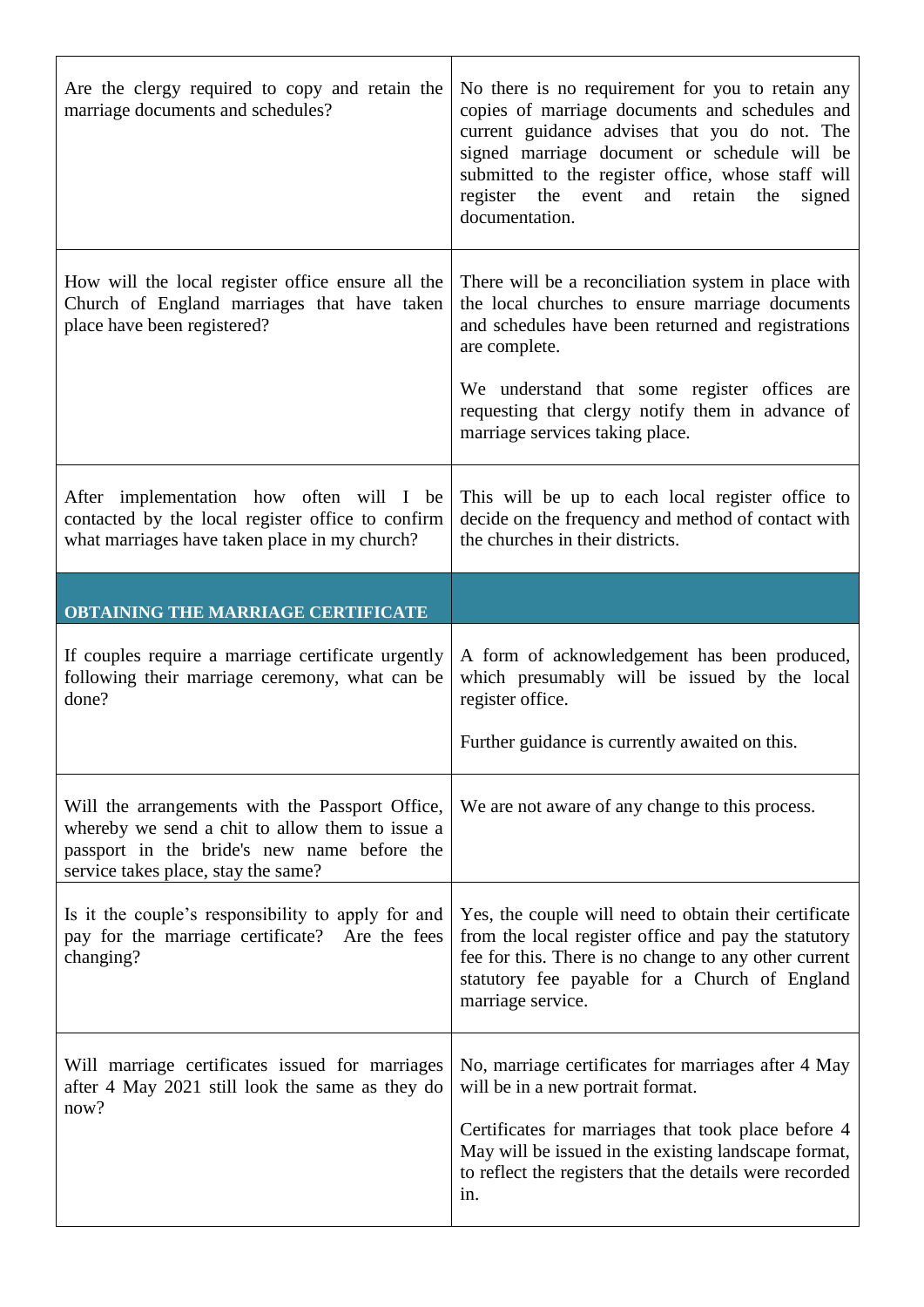| Are the clergy required to copy and retain the<br>marriage documents and schedules?                                                                                                      | No there is no requirement for you to retain any<br>copies of marriage documents and schedules and<br>current guidance advises that you do not. The<br>signed marriage document or schedule will be<br>submitted to the register office, whose staff will<br>register the event and retain the<br>signed<br>documentation. |
|------------------------------------------------------------------------------------------------------------------------------------------------------------------------------------------|----------------------------------------------------------------------------------------------------------------------------------------------------------------------------------------------------------------------------------------------------------------------------------------------------------------------------|
| How will the local register office ensure all the<br>Church of England marriages that have taken<br>place have been registered?                                                          | There will be a reconciliation system in place with<br>the local churches to ensure marriage documents<br>and schedules have been returned and registrations<br>are complete.<br>We understand that some register offices are<br>requesting that clergy notify them in advance of<br>marriage services taking place.       |
| After implementation how often will I be<br>contacted by the local register office to confirm<br>what marriages have taken place in my church?                                           | This will be up to each local register office to<br>decide on the frequency and method of contact with<br>the churches in their districts.                                                                                                                                                                                 |
| <b>OBTAINING THE MARRIAGE CERTIFICATE</b>                                                                                                                                                |                                                                                                                                                                                                                                                                                                                            |
| If couples require a marriage certificate urgently                                                                                                                                       | A form of acknowledgement has been produced,                                                                                                                                                                                                                                                                               |
| following their marriage ceremony, what can be<br>done?                                                                                                                                  | which presumably will be issued by the local<br>register office.<br>Further guidance is currently awaited on this.                                                                                                                                                                                                         |
| Will the arrangements with the Passport Office,<br>whereby we send a chit to allow them to issue a<br>passport in the bride's new name before the<br>service takes place, stay the same? | We are not aware of any change to this process.                                                                                                                                                                                                                                                                            |
| Is it the couple's responsibility to apply for and<br>pay for the marriage certificate? Are the fees<br>changing?                                                                        | Yes, the couple will need to obtain their certificate<br>from the local register office and pay the statutory<br>fee for this. There is no change to any other current<br>statutory fee payable for a Church of England<br>marriage service.                                                                               |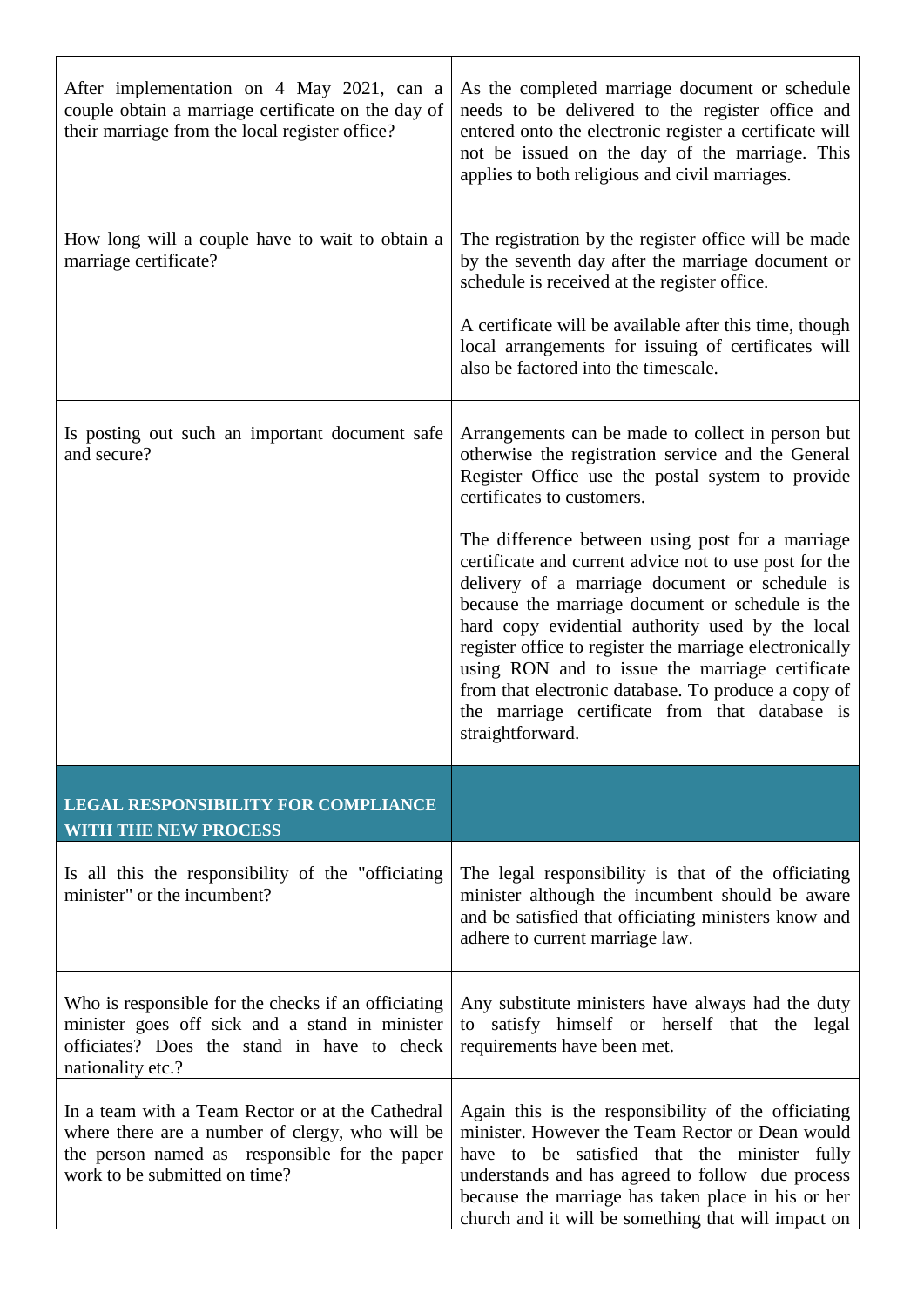| After implementation on 4 May 2021, can a<br>couple obtain a marriage certificate on the day of<br>their marriage from the local register office?                                     | As the completed marriage document or schedule<br>needs to be delivered to the register office and<br>entered onto the electronic register a certificate will<br>not be issued on the day of the marriage. This<br>applies to both religious and civil marriages.                                                                                                                                                                                                                                                                                                                                                                                                                                            |
|---------------------------------------------------------------------------------------------------------------------------------------------------------------------------------------|--------------------------------------------------------------------------------------------------------------------------------------------------------------------------------------------------------------------------------------------------------------------------------------------------------------------------------------------------------------------------------------------------------------------------------------------------------------------------------------------------------------------------------------------------------------------------------------------------------------------------------------------------------------------------------------------------------------|
| How long will a couple have to wait to obtain a<br>marriage certificate?                                                                                                              | The registration by the register office will be made<br>by the seventh day after the marriage document or<br>schedule is received at the register office.<br>A certificate will be available after this time, though<br>local arrangements for issuing of certificates will<br>also be factored into the timescale.                                                                                                                                                                                                                                                                                                                                                                                          |
| Is posting out such an important document safe<br>and secure?                                                                                                                         | Arrangements can be made to collect in person but<br>otherwise the registration service and the General<br>Register Office use the postal system to provide<br>certificates to customers.<br>The difference between using post for a marriage<br>certificate and current advice not to use post for the<br>delivery of a marriage document or schedule is<br>because the marriage document or schedule is the<br>hard copy evidential authority used by the local<br>register office to register the marriage electronically<br>using RON and to issue the marriage certificate<br>from that electronic database. To produce a copy of<br>the marriage certificate from that database is<br>straightforward. |
| <b>LEGAL RESPONSIBILITY FOR COMPLIANCE</b><br><b>WITH THE NEW PROCESS</b>                                                                                                             |                                                                                                                                                                                                                                                                                                                                                                                                                                                                                                                                                                                                                                                                                                              |
| Is all this the responsibility of the "officiating"<br>minister" or the incumbent?                                                                                                    | The legal responsibility is that of the officiating<br>minister although the incumbent should be aware<br>and be satisfied that officiating ministers know and<br>adhere to current marriage law.                                                                                                                                                                                                                                                                                                                                                                                                                                                                                                            |
| Who is responsible for the checks if an officiating<br>minister goes off sick and a stand in minister<br>officiates? Does the stand in have to check<br>nationality etc.?             | Any substitute ministers have always had the duty<br>satisfy himself or herself that the<br>legal<br>to<br>requirements have been met.                                                                                                                                                                                                                                                                                                                                                                                                                                                                                                                                                                       |
| In a team with a Team Rector or at the Cathedral<br>where there are a number of clergy, who will be<br>the person named as responsible for the paper<br>work to be submitted on time? | Again this is the responsibility of the officiating<br>minister. However the Team Rector or Dean would<br>have to be satisfied that the minister fully<br>understands and has agreed to follow due process<br>because the marriage has taken place in his or her<br>church and it will be something that will impact on                                                                                                                                                                                                                                                                                                                                                                                      |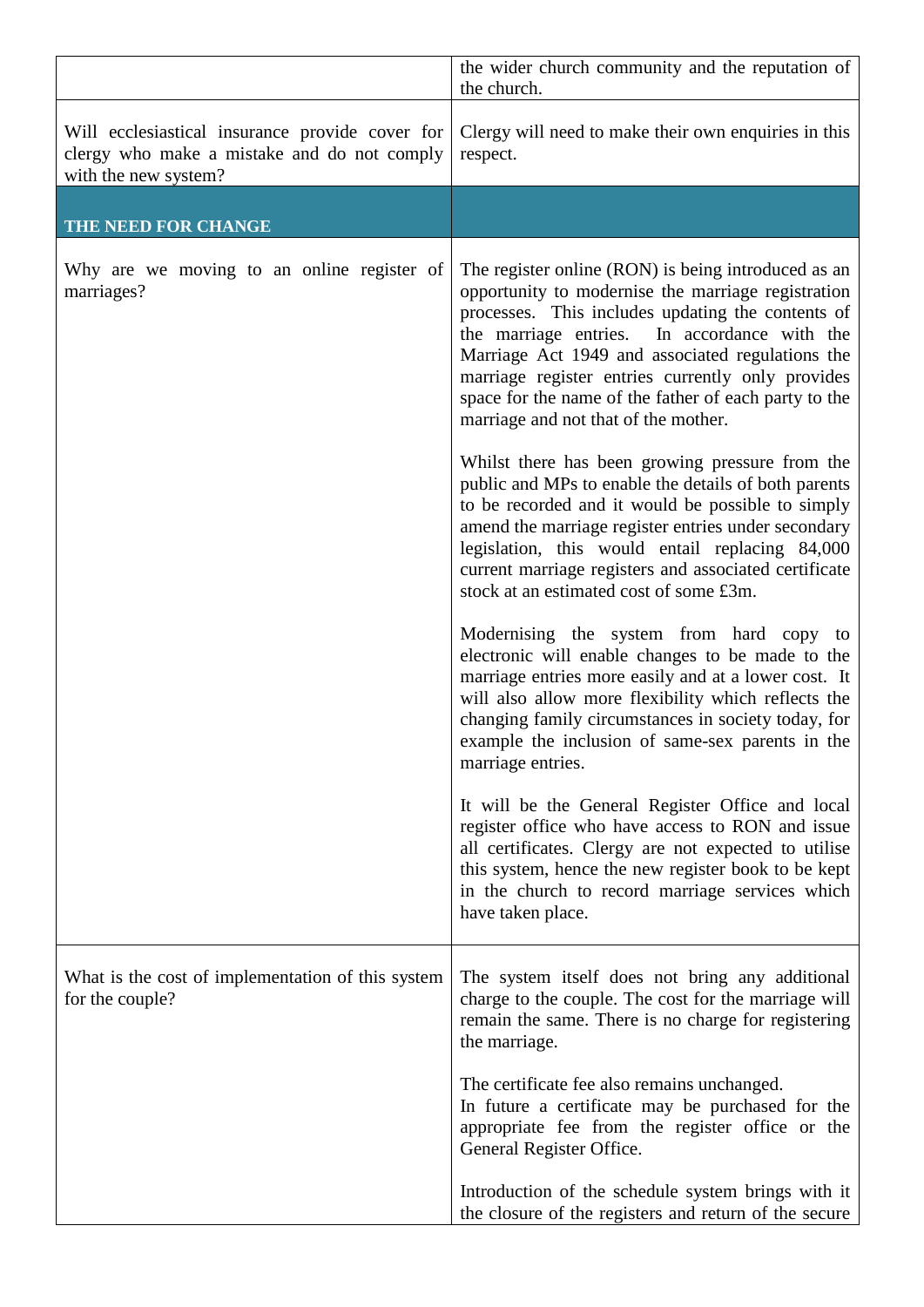|                                                                                                                        | the wider church community and the reputation of<br>the church.                                                                                                                                                                                                                                                                                                                                                                                                                |
|------------------------------------------------------------------------------------------------------------------------|--------------------------------------------------------------------------------------------------------------------------------------------------------------------------------------------------------------------------------------------------------------------------------------------------------------------------------------------------------------------------------------------------------------------------------------------------------------------------------|
| Will ecclesiastical insurance provide cover for<br>clergy who make a mistake and do not comply<br>with the new system? | Clergy will need to make their own enquiries in this<br>respect.                                                                                                                                                                                                                                                                                                                                                                                                               |
| THE NEED FOR CHANGE                                                                                                    |                                                                                                                                                                                                                                                                                                                                                                                                                                                                                |
| Why are we moving to an online register of<br>marriages?                                                               | The register online (RON) is being introduced as an<br>opportunity to modernise the marriage registration<br>processes. This includes updating the contents of<br>In accordance with the<br>the marriage entries.<br>Marriage Act 1949 and associated regulations the<br>marriage register entries currently only provides<br>space for the name of the father of each party to the<br>marriage and not that of the mother.<br>Whilst there has been growing pressure from the |
|                                                                                                                        | public and MPs to enable the details of both parents<br>to be recorded and it would be possible to simply<br>amend the marriage register entries under secondary<br>legislation, this would entail replacing 84,000<br>current marriage registers and associated certificate<br>stock at an estimated cost of some £3m.                                                                                                                                                        |
|                                                                                                                        | Modernising the system from hard copy to<br>electronic will enable changes to be made to the<br>marriage entries more easily and at a lower cost. It<br>will also allow more flexibility which reflects the<br>changing family circumstances in society today, for<br>example the inclusion of same-sex parents in the<br>marriage entries.                                                                                                                                    |
|                                                                                                                        | It will be the General Register Office and local<br>register office who have access to RON and issue<br>all certificates. Clergy are not expected to utilise<br>this system, hence the new register book to be kept<br>in the church to record marriage services which<br>have taken place.                                                                                                                                                                                    |
| What is the cost of implementation of this system<br>for the couple?                                                   | The system itself does not bring any additional<br>charge to the couple. The cost for the marriage will<br>remain the same. There is no charge for registering<br>the marriage.                                                                                                                                                                                                                                                                                                |
|                                                                                                                        | The certificate fee also remains unchanged.<br>In future a certificate may be purchased for the<br>appropriate fee from the register office or the<br>General Register Office.                                                                                                                                                                                                                                                                                                 |
|                                                                                                                        | Introduction of the schedule system brings with it<br>the closure of the registers and return of the secure                                                                                                                                                                                                                                                                                                                                                                    |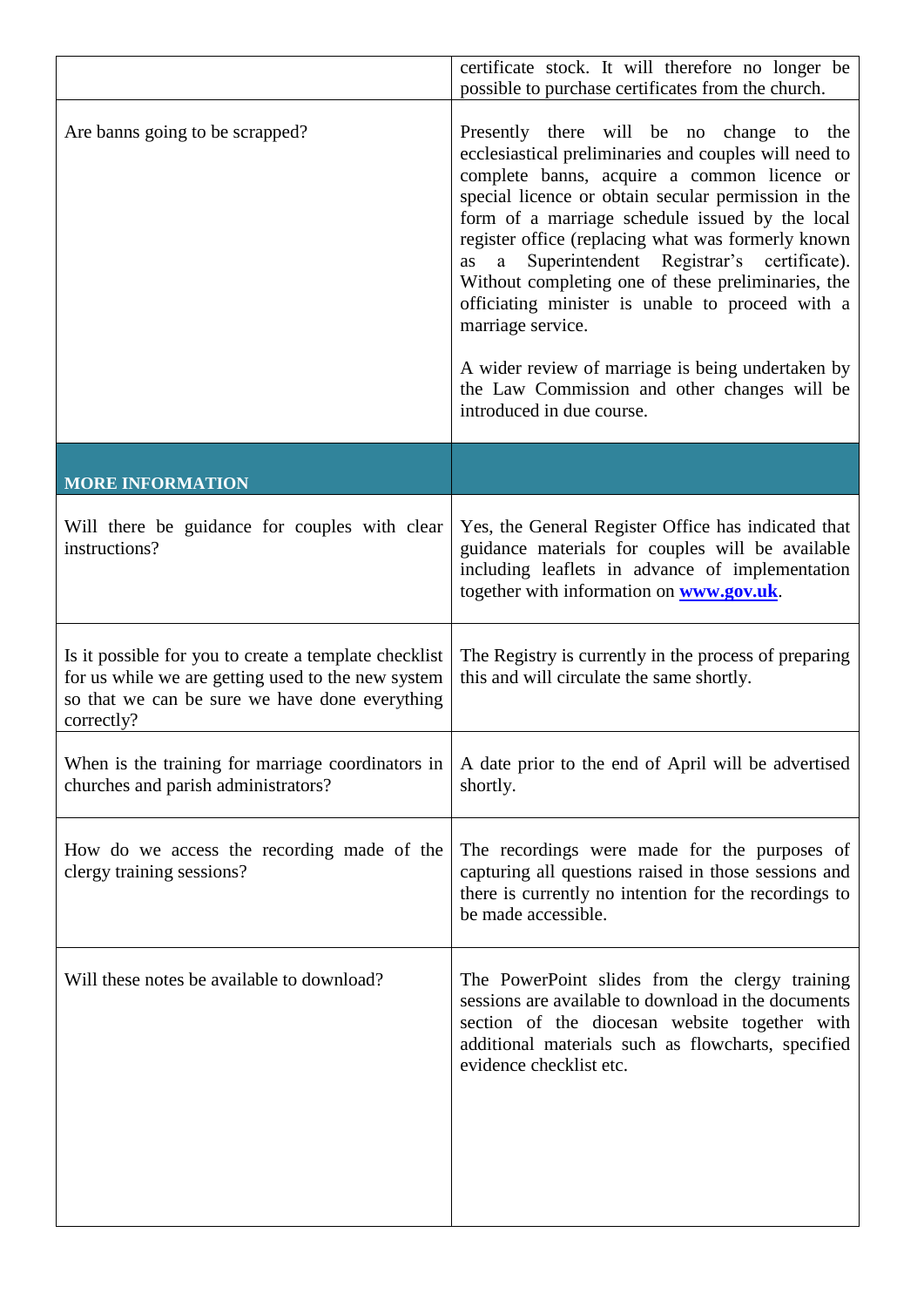|                                                                                                                                                                             | certificate stock. It will therefore no longer be<br>possible to purchase certificates from the church.                                                                                                                                                                                                                                                                                                                                                                                                                                                                                                                                     |
|-----------------------------------------------------------------------------------------------------------------------------------------------------------------------------|---------------------------------------------------------------------------------------------------------------------------------------------------------------------------------------------------------------------------------------------------------------------------------------------------------------------------------------------------------------------------------------------------------------------------------------------------------------------------------------------------------------------------------------------------------------------------------------------------------------------------------------------|
| Are banns going to be scrapped?                                                                                                                                             | Presently there will be no change to<br>the<br>ecclesiastical preliminaries and couples will need to<br>complete banns, acquire a common licence or<br>special licence or obtain secular permission in the<br>form of a marriage schedule issued by the local<br>register office (replacing what was formerly known<br>Superintendent Registrar's certificate).<br>as<br>a<br>Without completing one of these preliminaries, the<br>officiating minister is unable to proceed with a<br>marriage service.<br>A wider review of marriage is being undertaken by<br>the Law Commission and other changes will be<br>introduced in due course. |
| <b>MORE INFORMATION</b>                                                                                                                                                     |                                                                                                                                                                                                                                                                                                                                                                                                                                                                                                                                                                                                                                             |
| Will there be guidance for couples with clear<br>instructions?                                                                                                              | Yes, the General Register Office has indicated that<br>guidance materials for couples will be available<br>including leaflets in advance of implementation<br>together with information on <b>www.gov.uk</b> .                                                                                                                                                                                                                                                                                                                                                                                                                              |
| Is it possible for you to create a template checklist<br>for us while we are getting used to the new system<br>so that we can be sure we have done everything<br>correctly? | The Registry is currently in the process of preparing<br>this and will circulate the same shortly.                                                                                                                                                                                                                                                                                                                                                                                                                                                                                                                                          |
| When is the training for marriage coordinators in<br>churches and parish administrators?                                                                                    | A date prior to the end of April will be advertised<br>shortly.                                                                                                                                                                                                                                                                                                                                                                                                                                                                                                                                                                             |
| How do we access the recording made of the<br>clergy training sessions?                                                                                                     | The recordings were made for the purposes of<br>capturing all questions raised in those sessions and<br>there is currently no intention for the recordings to<br>be made accessible.                                                                                                                                                                                                                                                                                                                                                                                                                                                        |
| Will these notes be available to download?                                                                                                                                  | The PowerPoint slides from the clergy training<br>sessions are available to download in the documents<br>section of the diocesan website together with<br>additional materials such as flowcharts, specified<br>evidence checklist etc.                                                                                                                                                                                                                                                                                                                                                                                                     |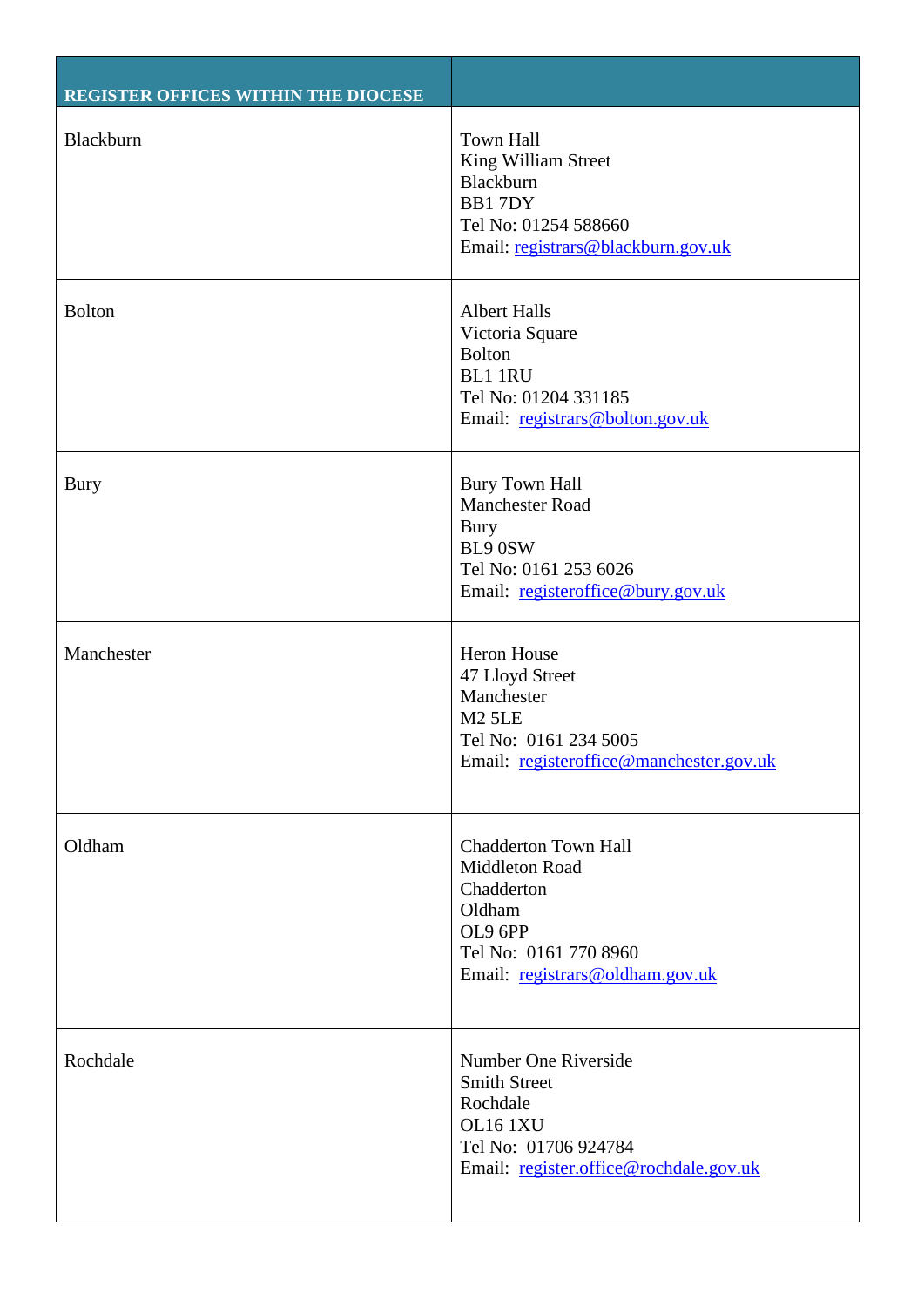| REGISTER OFFICES WITHIN THE DIOCESE |                                                                                                                                              |
|-------------------------------------|----------------------------------------------------------------------------------------------------------------------------------------------|
| Blackburn                           | <b>Town Hall</b><br>King William Street<br>Blackburn<br>BB17DY<br>Tel No: 01254 588660<br>Email: registrars@blackburn.gov.uk                 |
| <b>Bolton</b>                       | <b>Albert Halls</b><br>Victoria Square<br><b>Bolton</b><br><b>BL1 1RU</b><br>Tel No: 01204 331185<br>Email: registrars@bolton.gov.uk         |
| Bury                                | <b>Bury Town Hall</b><br><b>Manchester Road</b><br>Bury<br>BL9 0SW<br>Tel No: 0161 253 6026<br>Email: registeroffice@bury.gov.uk             |
| Manchester                          | Heron House<br>47 Lloyd Street<br>Manchester<br><b>M2 5LE</b><br>Tel No: 0161 234 5005<br>Email: registeroffice@manchester.gov.uk            |
| Oldham                              | <b>Chadderton Town Hall</b><br>Middleton Road<br>Chadderton<br>Oldham<br>OL9 6PP<br>Tel No: 0161 770 8960<br>Email: registrars@oldham.gov.uk |
| Rochdale                            | Number One Riverside<br><b>Smith Street</b><br>Rochdale<br>OL16 1XU<br>Tel No: 01706 924784<br>Email: register.office@rochdale.gov.uk        |